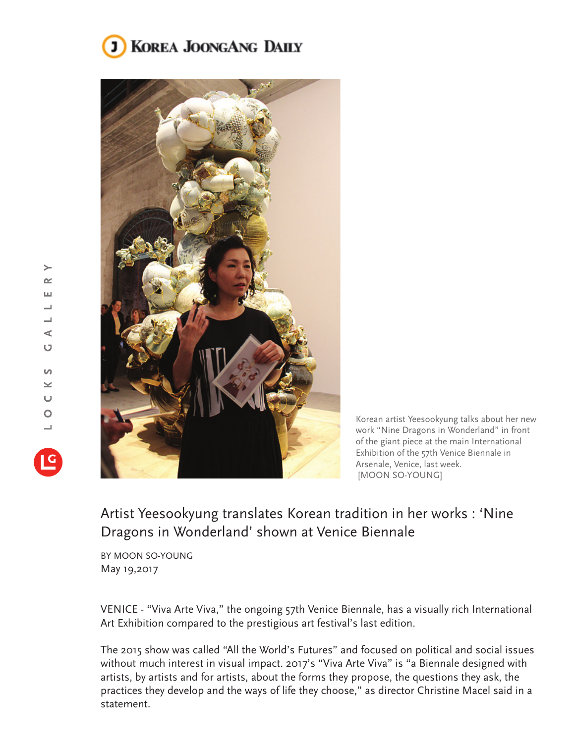## **KOREA JOONGANG DAILY**



Korean artist Yeesookyung talks about her new work "Nine Dragons in Wonderland" in front of the giant piece at the main International Exhibition of the 57th Venice Biennale in Arsenale, Venice, last week. [MOON SO-YOUNG]

## Artist Yeesookyung translates Korean tradition in her works : 'Nine Dragons in Wonderland' shown at Venice Biennale

BY MOON SO-YOUNG May 19,2017

VENICE - "Viva Arte Viva," the ongoing 57th Venice Biennale, has a visually rich International Art Exhibition compared to the prestigious art festival's last edition.

The 2015 show was called "All the World's Futures" and focused on political and social issues without much interest in visual impact. 2017's "Viva Arte Viva" is "a Biennale designed with artists, by artists and for artists, about the forms they propose, the questions they ask, the practices they develop and the ways of life they choose," as director Christine Macel said in a statement.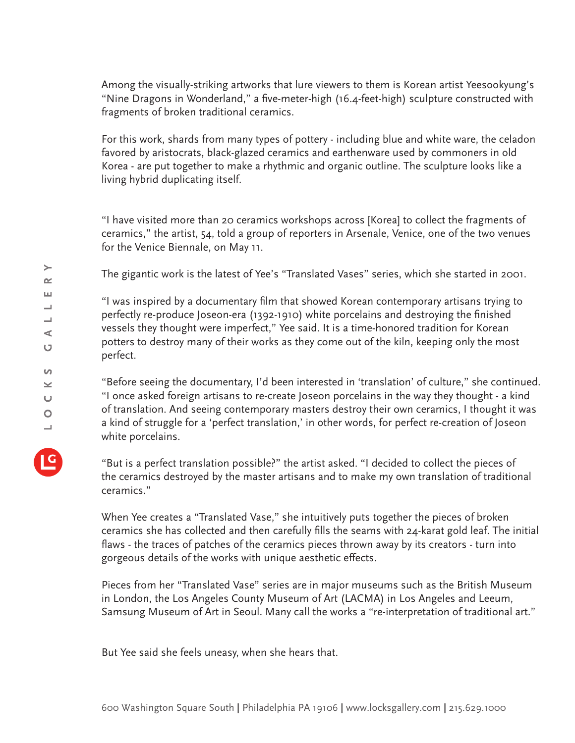Among the visually-striking artworks that lure viewers to them is Korean artist Yeesookyung's "Nine Dragons in Wonderland," a five-meter-high (16.4-feet-high) sculpture constructed with fragments of broken traditional ceramics.

For this work, shards from many types of pottery - including blue and white ware, the celadon favored by aristocrats, black-glazed ceramics and earthenware used by commoners in old Korea - are put together to make a rhythmic and organic outline. The sculpture looks like a living hybrid duplicating itself.

"I have visited more than 20 ceramics workshops across [Korea] to collect the fragments of ceramics," the artist, 54, told a group of reporters in Arsenale, Venice, one of the two venues for the Venice Biennale, on May 11.

The gigantic work is the latest of Yee's "Translated Vases" series, which she started in 2001.

"I was inspired by a documentary film that showed Korean contemporary artisans trying to perfectly re-produce Joseon-era (1392-1910) white porcelains and destroying the finished vessels they thought were imperfect," Yee said. It is a time-honored tradition for Korean potters to destroy many of their works as they come out of the kiln, keeping only the most perfect.

"Before seeing the documentary, I'd been interested in 'translation' of culture," she continued. "I once asked foreign artisans to re-create Joseon porcelains in the way they thought - a kind of translation. And seeing contemporary masters destroy their own ceramics, I thought it was a kind of struggle for a 'perfect translation,' in other words, for perfect re-creation of Joseon white porcelains.

"But is a perfect translation possible?" the artist asked. "I decided to collect the pieces of the ceramics destroyed by the master artisans and to make my own translation of traditional ceramics."

When Yee creates a "Translated Vase," she intuitively puts together the pieces of broken ceramics she has collected and then carefully fills the seams with 24-karat gold leaf. The initial flaws - the traces of patches of the ceramics pieces thrown away by its creators - turn into gorgeous details of the works with unique aesthetic effects.

Pieces from her "Translated Vase" series are in major museums such as the British Museum in London, the Los Angeles County Museum of Art (LACMA) in Los Angeles and Leeum, Samsung Museum of Art in Seoul. Many call the works a "re-interpretation of traditional art."

But Yee said she feels uneasy, when she hears that.

 $\geq$  $\sim$ ш ┙  $\overline{\phantom{0}}$ ⋖ O

 $\Omega$  $\geq$  $\cup$  $\overline{O}$  $\overline{\phantom{0}}$